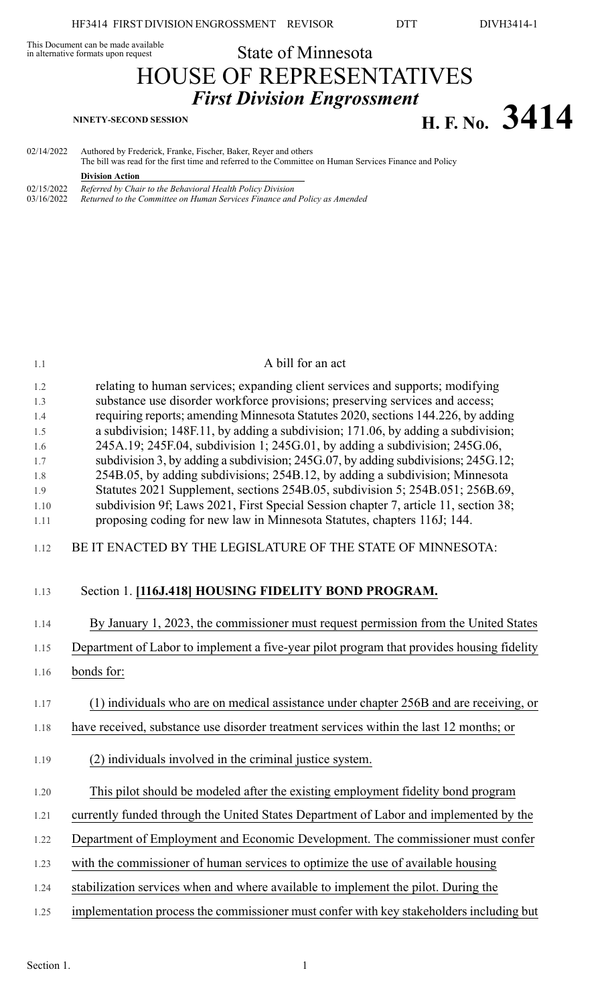# This Document can be made available<br>in alternative formats upon request **State of Minnesota** HOUSE OF REPRESENTATIVES *First Division Engrossment* **H. F. No. 3414 NINETY-SECOND SESSION**

02/14/2022 Authored by Frederick, Franke, Fischer, Baker, Reyer and others The bill was read for the first time and referred to the Committee on Human Services Finance and Policy **Division Action** 02/15/2022 *Referred by Chair to the Behavioral Health Policy Division* 03/16/2022 *Returned to the Committee on Human Services Finance and Policy as Amended*

| 1.1                                                                  | A bill for an act                                                                                                                                                                                                                                                                                                                                                                                                                                                                                                                                                                                                                                                                                                                                                                                                                             |
|----------------------------------------------------------------------|-----------------------------------------------------------------------------------------------------------------------------------------------------------------------------------------------------------------------------------------------------------------------------------------------------------------------------------------------------------------------------------------------------------------------------------------------------------------------------------------------------------------------------------------------------------------------------------------------------------------------------------------------------------------------------------------------------------------------------------------------------------------------------------------------------------------------------------------------|
| 1.2<br>1.3<br>1.4<br>1.5<br>1.6<br>1.7<br>1.8<br>1.9<br>1.10<br>1.11 | relating to human services; expanding client services and supports; modifying<br>substance use disorder workforce provisions; preserving services and access;<br>requiring reports; amending Minnesota Statutes 2020, sections 144.226, by adding<br>a subdivision; 148F.11, by adding a subdivision; 171.06, by adding a subdivision;<br>245A.19; 245F.04, subdivision 1; 245G.01, by adding a subdivision; 245G.06,<br>subdivision 3, by adding a subdivision; 245G.07, by adding subdivisions; 245G.12;<br>254B.05, by adding subdivisions; 254B.12, by adding a subdivision; Minnesota<br>Statutes 2021 Supplement, sections 254B.05, subdivision 5; 254B.051; 256B.69,<br>subdivision 9f; Laws 2021, First Special Session chapter 7, article 11, section 38;<br>proposing coding for new law in Minnesota Statutes, chapters 116J; 144. |
| 1.12                                                                 | BE IT ENACTED BY THE LEGISLATURE OF THE STATE OF MINNESOTA:                                                                                                                                                                                                                                                                                                                                                                                                                                                                                                                                                                                                                                                                                                                                                                                   |
| 1.13                                                                 | Section 1. [116J.418] HOUSING FIDELITY BOND PROGRAM.                                                                                                                                                                                                                                                                                                                                                                                                                                                                                                                                                                                                                                                                                                                                                                                          |
| 1.14                                                                 | By January 1, 2023, the commissioner must request permission from the United States                                                                                                                                                                                                                                                                                                                                                                                                                                                                                                                                                                                                                                                                                                                                                           |
| 1.15                                                                 | Department of Labor to implement a five-year pilot program that provides housing fidelity                                                                                                                                                                                                                                                                                                                                                                                                                                                                                                                                                                                                                                                                                                                                                     |
| 1.16                                                                 | bonds for:                                                                                                                                                                                                                                                                                                                                                                                                                                                                                                                                                                                                                                                                                                                                                                                                                                    |
| 1.17                                                                 | (1) individuals who are on medical assistance under chapter 256B and are receiving, or                                                                                                                                                                                                                                                                                                                                                                                                                                                                                                                                                                                                                                                                                                                                                        |
| 1.18                                                                 | have received, substance use disorder treatment services within the last 12 months; or                                                                                                                                                                                                                                                                                                                                                                                                                                                                                                                                                                                                                                                                                                                                                        |
| 1.19                                                                 | (2) individuals involved in the criminal justice system.                                                                                                                                                                                                                                                                                                                                                                                                                                                                                                                                                                                                                                                                                                                                                                                      |
| 1.20                                                                 | This pilot should be modeled after the existing employment fidelity bond program                                                                                                                                                                                                                                                                                                                                                                                                                                                                                                                                                                                                                                                                                                                                                              |
| 1.21                                                                 | currently funded through the United States Department of Labor and implemented by the                                                                                                                                                                                                                                                                                                                                                                                                                                                                                                                                                                                                                                                                                                                                                         |
| 1.22                                                                 | Department of Employment and Economic Development. The commissioner must confer                                                                                                                                                                                                                                                                                                                                                                                                                                                                                                                                                                                                                                                                                                                                                               |
| 1.23                                                                 | with the commissioner of human services to optimize the use of available housing                                                                                                                                                                                                                                                                                                                                                                                                                                                                                                                                                                                                                                                                                                                                                              |
| 1.24                                                                 | stabilization services when and where available to implement the pilot. During the                                                                                                                                                                                                                                                                                                                                                                                                                                                                                                                                                                                                                                                                                                                                                            |
| 1.25                                                                 | implementation process the commissioner must confer with key stakeholders including but                                                                                                                                                                                                                                                                                                                                                                                                                                                                                                                                                                                                                                                                                                                                                       |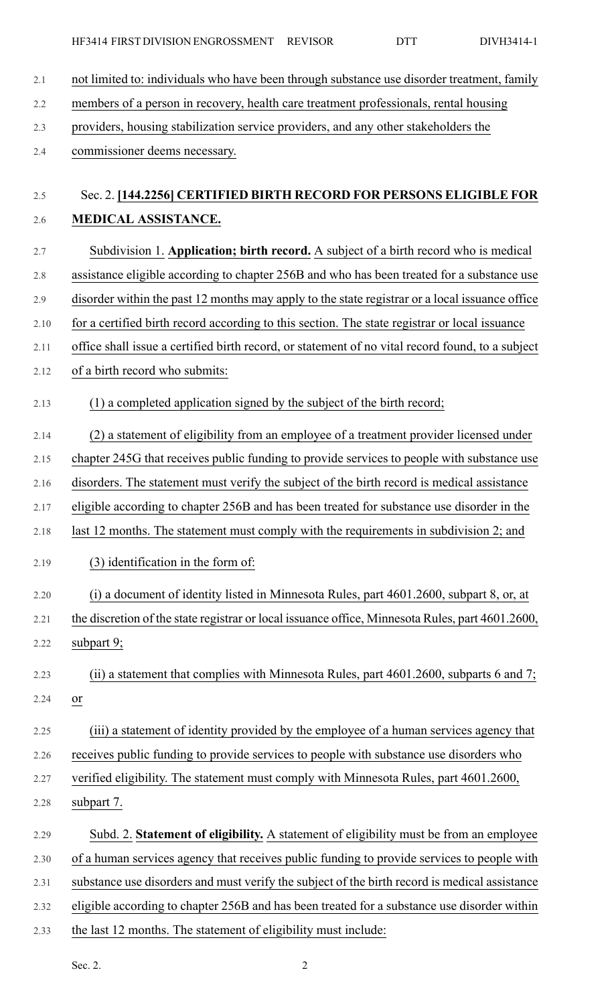- 2.1 not limited to: individuals who have been through substance use disorder treatment, family
- 2.2 members of a person in recovery, health care treatment professionals, rental housing
- 2.3 providers, housing stabilization service providers, and any other stakeholders the
- 2.4 commissioner deems necessary.

## 2.5 Sec. 2. **[144.2256] CERTIFIED BIRTH RECORD FOR PERSONS ELIGIBLE FOR** 2.6 **MEDICAL ASSISTANCE.**

- 2.7 Subdivision 1. **Application; birth record.** A subject of a birth record who is medical 2.8 assistance eligible according to chapter 256B and who has been treated for a substance use 2.9 disorder within the past 12 months may apply to the state registrar or a local issuance office 2.10 for a certified birth record according to this section. The state registrar or local issuance
- 2.11 office shall issue a certified birth record, or statement of no vital record found, to a subject
- 2.12 of a birth record who submits:
- 2.13 (1) a completed application signed by the subject of the birth record;
- 2.14 (2) a statement of eligibility from an employee of a treatment provider licensed under
- 2.15 chapter 245G that receives public funding to provide services to people with substance use
- 2.16 disorders. The statement must verify the subject of the birth record is medical assistance
- 2.17 eligible according to chapter 256B and has been treated for substance use disorder in the
- 2.18 last 12 months. The statement must comply with the requirements in subdivision 2; and
- 2.19 (3) identification in the form of:
- 2.20 (i) a document of identity listed in Minnesota Rules, part 4601.2600, subpart 8, or, at
- 2.21 the discretion of the state registrar or local issuance office, Minnesota Rules, part 4601.2600, 2.22 subpart 9;
- 2.23 (ii) a statement that complies with Minnesota Rules, part 4601.2600, subparts 6 and 7; 2.24 or
- 2.25 (iii) a statement of identity provided by the employee of a human services agency that
- 2.26 receives public funding to provide services to people with substance use disorders who
- 2.27 verified eligibility. The statement must comply with Minnesota Rules, part 4601.2600,
- 2.28 subpart 7.
- 2.29 Subd. 2. **Statement of eligibility.** A statement of eligibility must be from an employee 2.30 of a human services agency that receives public funding to provide services to people with 2.31 substance use disorders and must verify the subject of the birth record is medical assistance 2.32 eligible according to chapter 256B and has been treated for a substance use disorder within
- 2.33 the last 12 months. The statement of eligibility must include: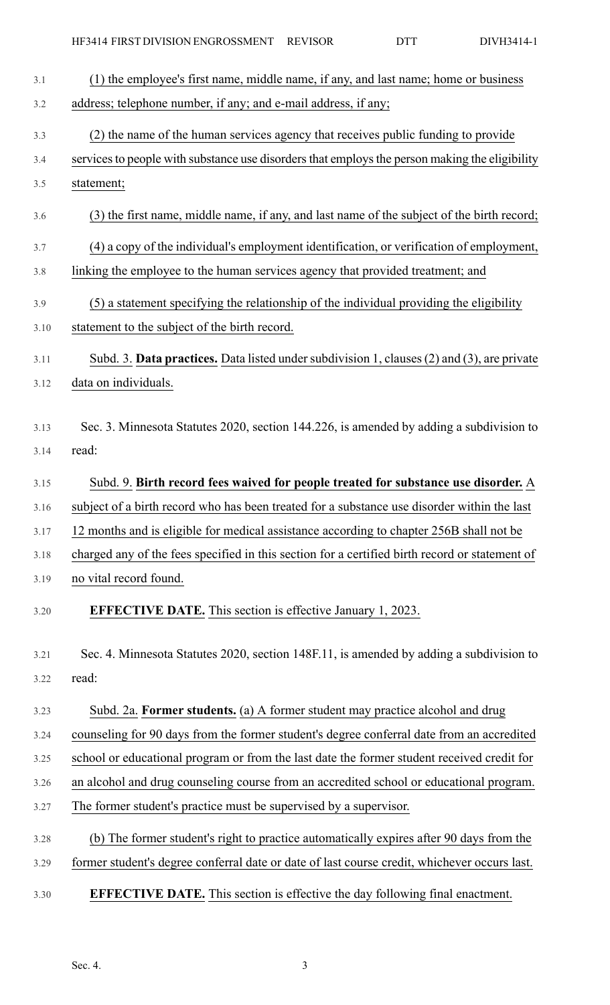| 3.1  | (1) the employee's first name, middle name, if any, and last name; home or business            |
|------|------------------------------------------------------------------------------------------------|
| 3.2  | address; telephone number, if any; and e-mail address, if any;                                 |
| 3.3  | (2) the name of the human services agency that receives public funding to provide              |
| 3.4  | services to people with substance use disorders that employs the person making the eligibility |
| 3.5  | statement;                                                                                     |
| 3.6  | (3) the first name, middle name, if any, and last name of the subject of the birth record;     |
| 3.7  | (4) a copy of the individual's employment identification, or verification of employment,       |
| 3.8  | linking the employee to the human services agency that provided treatment; and                 |
| 3.9  | (5) a statement specifying the relationship of the individual providing the eligibility        |
| 3.10 | statement to the subject of the birth record.                                                  |
| 3.11 | Subd. 3. Data practices. Data listed under subdivision 1, clauses (2) and (3), are private     |
| 3.12 | data on individuals.                                                                           |
| 3.13 | Sec. 3. Minnesota Statutes 2020, section 144.226, is amended by adding a subdivision to        |
| 3.14 | read:                                                                                          |
|      |                                                                                                |
| 3.15 | Subd. 9. Birth record fees waived for people treated for substance use disorder. A             |
| 3.16 | subject of a birth record who has been treated for a substance use disorder within the last    |
| 3.17 | 12 months and is eligible for medical assistance according to chapter 256B shall not be        |
| 3.18 | charged any of the fees specified in this section for a certified birth record or statement of |
| 3.19 | no vital record found.                                                                         |
| 3.20 | <b>EFFECTIVE DATE.</b> This section is effective January 1, 2023.                              |
| 3.21 | Sec. 4. Minnesota Statutes 2020, section 148F.11, is amended by adding a subdivision to        |
| 3.22 | read:                                                                                          |
| 3.23 | Subd. 2a. Former students. (a) A former student may practice alcohol and drug                  |
| 3.24 | counseling for 90 days from the former student's degree conferral date from an accredited      |
| 3.25 | school or educational program or from the last date the former student received credit for     |
| 3.26 | an alcohol and drug counseling course from an accredited school or educational program.        |
| 3.27 | The former student's practice must be supervised by a supervisor.                              |
| 3.28 | (b) The former student's right to practice automatically expires after 90 days from the        |
| 3.29 | former student's degree conferral date or date of last course credit, whichever occurs last.   |
| 3.30 | <b>EFFECTIVE DATE.</b> This section is effective the day following final enactment.            |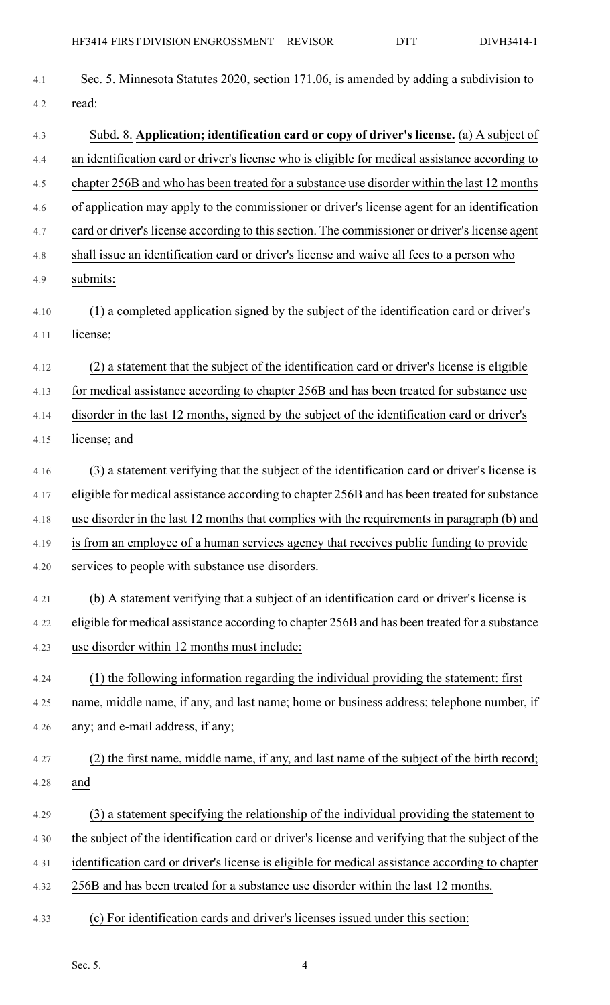| 4.1  | Sec. 5. Minnesota Statutes 2020, section 171.06, is amended by adding a subdivision to           |
|------|--------------------------------------------------------------------------------------------------|
| 4.2  | read:                                                                                            |
| 4.3  | Subd. 8. Application; identification card or copy of driver's license. (a) A subject of          |
| 4.4  | an identification card or driver's license who is eligible for medical assistance according to   |
| 4.5  | chapter 256B and who has been treated for a substance use disorder within the last 12 months     |
| 4.6  | of application may apply to the commissioner or driver's license agent for an identification     |
| 4.7  | card or driver's license according to this section. The commissioner or driver's license agent   |
| 4.8  | shall issue an identification card or driver's license and waive all fees to a person who        |
| 4.9  | submits:                                                                                         |
| 4.10 | (1) a completed application signed by the subject of the identification card or driver's         |
| 4.11 | license;                                                                                         |
| 4.12 | (2) a statement that the subject of the identification card or driver's license is eligible      |
| 4.13 | for medical assistance according to chapter 256B and has been treated for substance use          |
| 4.14 | disorder in the last 12 months, signed by the subject of the identification card or driver's     |
| 4.15 | license; and                                                                                     |
| 4.16 | (3) a statement verifying that the subject of the identification card or driver's license is     |
| 4.17 | eligible for medical assistance according to chapter 256B and has been treated for substance     |
| 4.18 | use disorder in the last 12 months that complies with the requirements in paragraph (b) and      |
| 4.19 | is from an employee of a human services agency that receives public funding to provide           |
| 4.20 | services to people with substance use disorders.                                                 |
| 4.21 | (b) A statement verifying that a subject of an identification card or driver's license is        |
| 4.22 | eligible for medical assistance according to chapter 256B and has been treated for a substance   |
| 4.23 | use disorder within 12 months must include:                                                      |
| 4.24 | (1) the following information regarding the individual providing the statement: first            |
| 4.25 | name, middle name, if any, and last name; home or business address; telephone number, if         |
| 4.26 | any; and e-mail address, if any;                                                                 |
| 4.27 | ) the first name, middle name, if any, and last name of the subject of the birth record;         |
| 4.28 | and                                                                                              |
| 4.29 | (3) a statement specifying the relationship of the individual providing the statement to         |
| 4.30 | the subject of the identification card or driver's license and verifying that the subject of the |
| 4.31 | identification card or driver's license is eligible for medical assistance according to chapter  |
| 4.32 | 256B and has been treated for a substance use disorder within the last 12 months.                |
| 4.33 | (c) For identification cards and driver's licenses issued under this section:                    |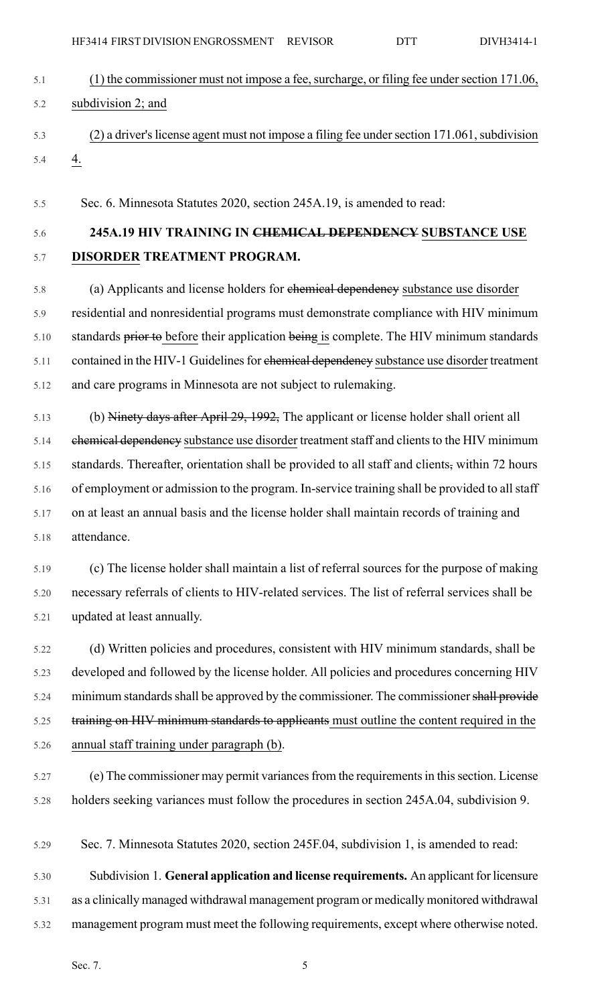|      | HF3414 FIRST DIVISION ENGROSSMENT REVISOR                                                      | <b>DTT</b> | DIVH3414-1 |
|------|------------------------------------------------------------------------------------------------|------------|------------|
| 5.1  | (1) the commissioner must not impose a fee, surcharge, or filing fee under section 171.06,     |            |            |
| 5.2  | subdivision 2; and                                                                             |            |            |
| 5.3  | (2) a driver's license agent must not impose a filing fee under section 171.061, subdivision   |            |            |
| 5.4  | $\overline{4}$ .                                                                               |            |            |
| 5.5  | Sec. 6. Minnesota Statutes 2020, section 245A.19, is amended to read:                          |            |            |
| 5.6  | 245A.19 HIV TRAINING IN CHEMICAL DEPENDENCY SUBSTANCE USE                                      |            |            |
| 5.7  | DISORDER TREATMENT PROGRAM.                                                                    |            |            |
| 5.8  | (a) Applicants and license holders for ehemical dependency substance use disorder              |            |            |
| 5.9  | residential and nonresidential programs must demonstrate compliance with HIV minimum           |            |            |
| 5.10 | standards prior to before their application being is complete. The HIV minimum standards       |            |            |
| 5.11 | contained in the HIV-1 Guidelines for ehemical dependency substance use disorder treatment     |            |            |
| 5.12 | and care programs in Minnesota are not subject to rulemaking.                                  |            |            |
| 5.13 | (b) Ninety days after April 29, 1992, The applicant or license holder shall orient all         |            |            |
| 5.14 | ehemical dependency substance use disorder treatment staff and clients to the HIV minimum      |            |            |
| 5.15 | standards. Thereafter, orientation shall be provided to all staff and clients, within 72 hours |            |            |
| 5.16 | of employment or admission to the program. In-service training shall be provided to all staff  |            |            |
| 5.17 | on at least an annual basis and the license holder shall maintain records of training and      |            |            |
| 5.18 | attendance.                                                                                    |            |            |
| 5.19 | (c) The license holder shall maintain a list of referral sources for the purpose of making     |            |            |
| 5.20 | necessary referrals of clients to HIV-related services. The list of referral services shall be |            |            |
| 5.21 | updated at least annually.                                                                     |            |            |
| 5.22 | (d) Written policies and procedures, consistent with HIV minimum standards, shall be           |            |            |
| 5.23 | developed and followed by the license holder. All policies and procedures concerning HIV       |            |            |
| 5.24 | minimum standards shall be approved by the commissioner. The commissioner shall provide        |            |            |
| 5.25 | training on HIV minimum standards to applicants must outline the content required in the       |            |            |
| 5.26 | annual staff training under paragraph (b).                                                     |            |            |
| 5.27 | (e) The commissioner may permit variances from the requirements in this section. License       |            |            |
| 5.28 | holders seeking variances must follow the procedures in section 245A.04, subdivision 9.        |            |            |
| 5.29 | Sec. 7. Minnesota Statutes 2020, section 245F.04, subdivision 1, is amended to read:           |            |            |
| 5.30 | Subdivision 1. General application and license requirements. An applicant for licensure        |            |            |
| 5.31 | as a clinically managed withdrawal management program or medically monitored withdrawal        |            |            |

5.32 management program must meet the following requirements, except where otherwise noted.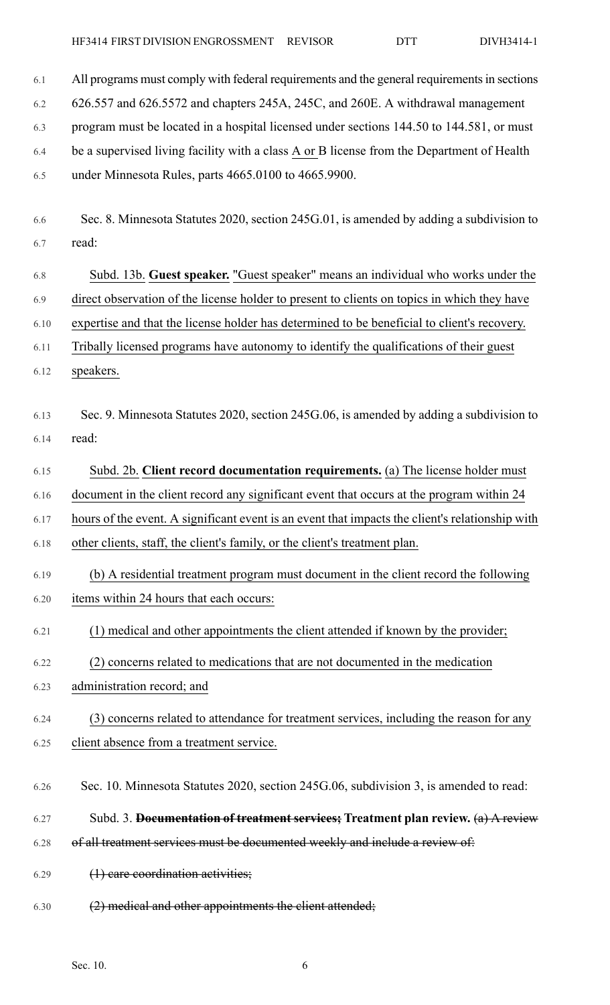| 6.1  | All programs must comply with federal requirements and the general requirements in sections     |
|------|-------------------------------------------------------------------------------------------------|
| 6.2  | 626.557 and 626.5572 and chapters 245A, 245C, and 260E. A withdrawal management                 |
| 6.3  | program must be located in a hospital licensed under sections 144.50 to 144.581, or must        |
| 6.4  | be a supervised living facility with a class A or B license from the Department of Health       |
| 6.5  | under Minnesota Rules, parts 4665.0100 to 4665.9900.                                            |
|      |                                                                                                 |
| 6.6  | Sec. 8. Minnesota Statutes 2020, section 245G.01, is amended by adding a subdivision to         |
| 6.7  | read:                                                                                           |
| 6.8  | Subd. 13b. Guest speaker. "Guest speaker" means an individual who works under the               |
| 6.9  | direct observation of the license holder to present to clients on topics in which they have     |
| 6.10 | expertise and that the license holder has determined to be beneficial to client's recovery.     |
| 6.11 | Tribally licensed programs have autonomy to identify the qualifications of their guest          |
| 6.12 | speakers.                                                                                       |
|      |                                                                                                 |
| 6.13 | Sec. 9. Minnesota Statutes 2020, section 245G.06, is amended by adding a subdivision to         |
| 6.14 | read:                                                                                           |
| 6.15 | Subd. 2b. Client record documentation requirements. (a) The license holder must                 |
| 6.16 | document in the client record any significant event that occurs at the program within 24        |
| 6.17 | hours of the event. A significant event is an event that impacts the client's relationship with |
| 6.18 | other clients, staff, the client's family, or the client's treatment plan.                      |
| 6.19 | (b) A residential treatment program must document in the client record the following            |
| 6.20 | items within 24 hours that each occurs:                                                         |
| 6.21 | (1) medical and other appointments the client attended if known by the provider;                |
| 6.22 | (2) concerns related to medications that are not documented in the medication                   |
| 6.23 | administration record; and                                                                      |
|      |                                                                                                 |
| 6.24 | (3) concerns related to attendance for treatment services, including the reason for any         |
| 6.25 | client absence from a treatment service.                                                        |
| 6.26 | Sec. 10. Minnesota Statutes 2020, section 245G.06, subdivision 3, is amended to read:           |
| 6.27 | Subd. 3. Documentation of treatment services; Treatment plan review. $(a)$ A review             |
| 6.28 | of all treatment services must be documented weekly and include a review of:                    |
| 6.29 | $(1)$ care coordination activities;                                                             |
| 6.30 | (2) medical and other appointments the client attended;                                         |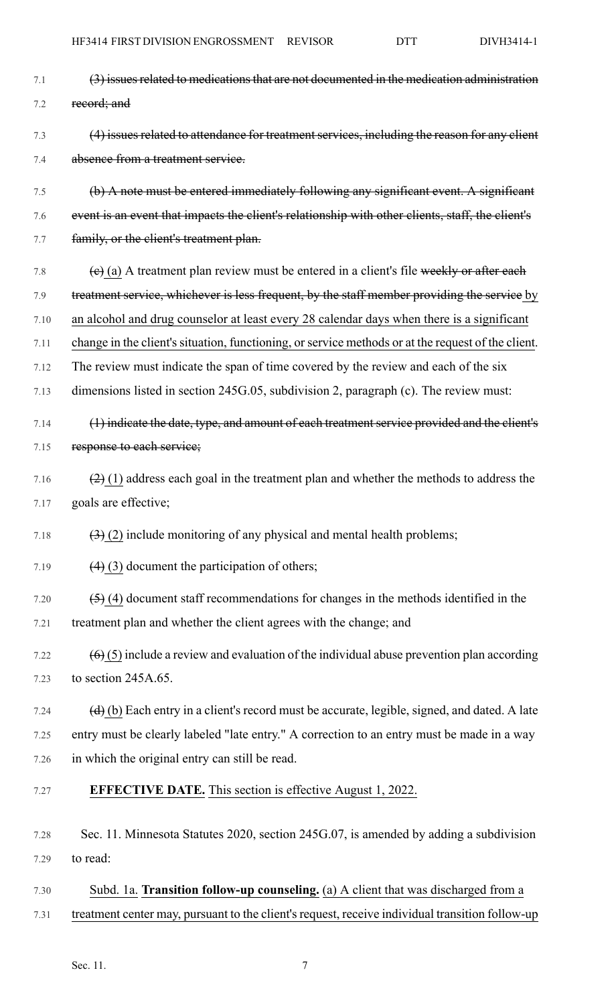| 7.1  | (3) issues related to medications that are not documented in the medication administration                          |
|------|---------------------------------------------------------------------------------------------------------------------|
| 7.2  | record; and                                                                                                         |
| 7.3  | (4) issues related to attendance for treatment services, including the reason for any client                        |
| 7.4  | absence from a treatment service.                                                                                   |
| 7.5  | (b) A note must be entered immediately following any significant event. A significant                               |
| 7.6  | event is an event that impacts the client's relationship with other clients, staff, the client's                    |
| 7.7  | family, or the client's treatment plan.                                                                             |
| 7.8  | $(e)$ (a) A treatment plan review must be entered in a client's file weekly or after each                           |
| 7.9  | treatment service, whichever is less frequent, by the staff member providing the service by                         |
| 7.10 | an alcohol and drug counselor at least every 28 calendar days when there is a significant                           |
| 7.11 | change in the client's situation, functioning, or service methods or at the request of the client.                  |
| 7.12 | The review must indicate the span of time covered by the review and each of the six                                 |
| 7.13 | dimensions listed in section 245G.05, subdivision 2, paragraph (c). The review must:                                |
| 7.14 | (1) indicate the date, type, and amount of each treatment service provided and the client's                         |
| 7.15 | response to each service;                                                                                           |
| 7.16 | $(2)$ (1) address each goal in the treatment plan and whether the methods to address the                            |
| 7.17 | goals are effective;                                                                                                |
| 7.18 | $\left(\frac{3}{2}\right)$ (2) include monitoring of any physical and mental health problems;                       |
| 7.19 | $(4)$ (3) document the participation of others;                                                                     |
| 7.20 | $(5)$ (4) document staff recommendations for changes in the methods identified in the                               |
| 7.21 | treatment plan and whether the client agrees with the change; and                                                   |
| 7.22 | $(6)$ (5) include a review and evaluation of the individual abuse prevention plan according                         |
| 7.23 | to section 245A.65.                                                                                                 |
| 7.24 | $\left(\frac{d}{d}\right)$ (b) Each entry in a client's record must be accurate, legible, signed, and dated. A late |
| 7.25 | entry must be clearly labeled "late entry." A correction to an entry must be made in a way                          |
| 7.26 | in which the original entry can still be read.                                                                      |
| 7.27 | <b>EFFECTIVE DATE.</b> This section is effective August 1, 2022.                                                    |
| 7.28 | Sec. 11. Minnesota Statutes 2020, section 245G.07, is amended by adding a subdivision                               |
| 7.29 | to read:                                                                                                            |
| 7.30 | Subd. 1a. Transition follow-up counseling. (a) A client that was discharged from a                                  |

7.31 treatment center may, pursuant to the client's request, receive individual transition follow-up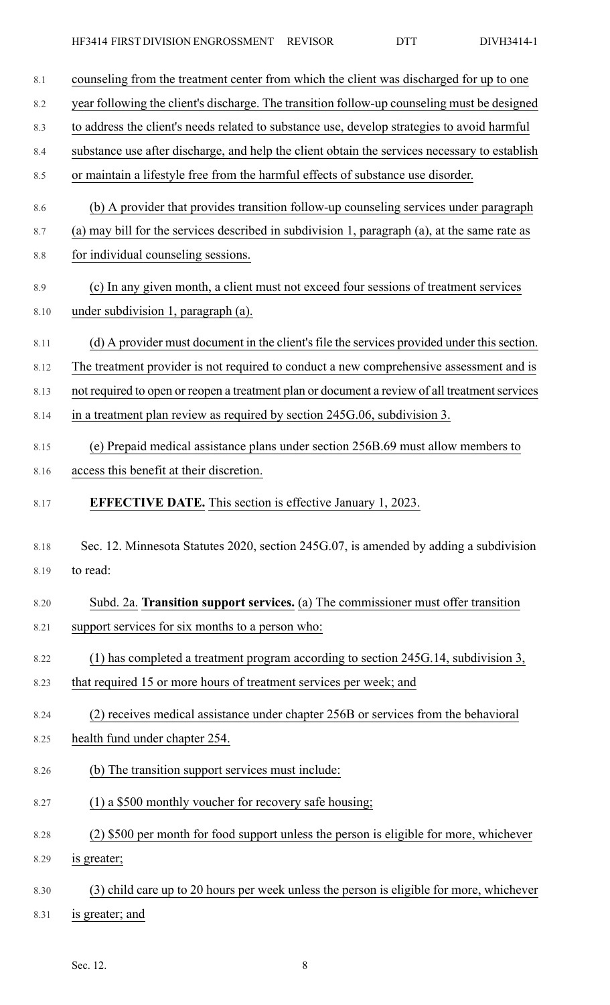| 8.1  | counseling from the treatment center from which the client was discharged for up to one        |
|------|------------------------------------------------------------------------------------------------|
| 8.2  | year following the client's discharge. The transition follow-up counseling must be designed    |
| 8.3  | to address the client's needs related to substance use, develop strategies to avoid harmful    |
| 8.4  | substance use after discharge, and help the client obtain the services necessary to establish  |
| 8.5  | or maintain a lifestyle free from the harmful effects of substance use disorder.               |
| 8.6  | (b) A provider that provides transition follow-up counseling services under paragraph          |
| 8.7  | (a) may bill for the services described in subdivision 1, paragraph (a), at the same rate as   |
| 8.8  | for individual counseling sessions.                                                            |
| 8.9  | (c) In any given month, a client must not exceed four sessions of treatment services           |
| 8.10 | under subdivision 1, paragraph (a).                                                            |
| 8.11 | (d) A provider must document in the client's file the services provided under this section.    |
| 8.12 | The treatment provider is not required to conduct a new comprehensive assessment and is        |
| 8.13 | not required to open or reopen a treatment plan or document a review of all treatment services |
| 8.14 | in a treatment plan review as required by section 245G.06, subdivision 3.                      |
| 8.15 | (e) Prepaid medical assistance plans under section 256B.69 must allow members to               |
| 8.16 | access this benefit at their discretion.                                                       |
| 8.17 | <b>EFFECTIVE DATE.</b> This section is effective January 1, 2023.                              |
| 8.18 | Sec. 12. Minnesota Statutes 2020, section 245G.07, is amended by adding a subdivision          |
| 8.19 | to read:                                                                                       |
| 8.20 | Subd. 2a. Transition support services. (a) The commissioner must offer transition              |
| 8.21 | support services for six months to a person who:                                               |
| 8.22 | (1) has completed a treatment program according to section 245G.14, subdivision 3,             |
| 8.23 | that required 15 or more hours of treatment services per week; and                             |
| 8.24 | (2) receives medical assistance under chapter 256B or services from the behavioral             |
| 8.25 | health fund under chapter 254.                                                                 |
| 8.26 | (b) The transition support services must include:                                              |
| 8.27 | (1) a \$500 monthly voucher for recovery safe housing;                                         |
| 8.28 | (2) \$500 per month for food support unless the person is eligible for more, whichever         |
| 8.29 | is greater;                                                                                    |
| 8.30 | (3) child care up to 20 hours per week unless the person is eligible for more, whichever       |
| 8.31 | is greater; and                                                                                |

Sec. 12. 8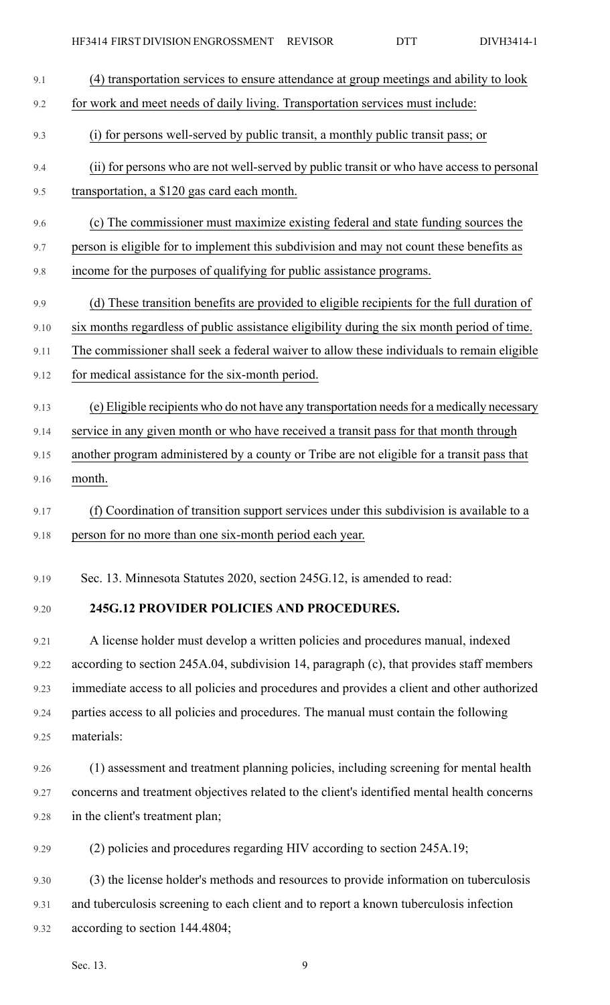

9.21 A license holder must develop a written policies and procedures manual, indexed 9.22 according to section 245A.04, subdivision 14, paragraph (c), that provides staff members 9.23 immediate access to all policies and procedures and provides a client and other authorized 9.24 parties access to all policies and procedures. The manual must contain the following 9.25 materials:

9.26 (1) assessment and treatment planning policies, including screening for mental health 9.27 concerns and treatment objectives related to the client's identified mental health concerns 9.28 in the client's treatment plan;

9.29 (2) policies and procedures regarding HIV according to section 245A.19;

9.30 (3) the license holder's methods and resources to provide information on tuberculosis 9.31 and tuberculosis screening to each client and to report a known tuberculosis infection 9.32 according to section 144.4804;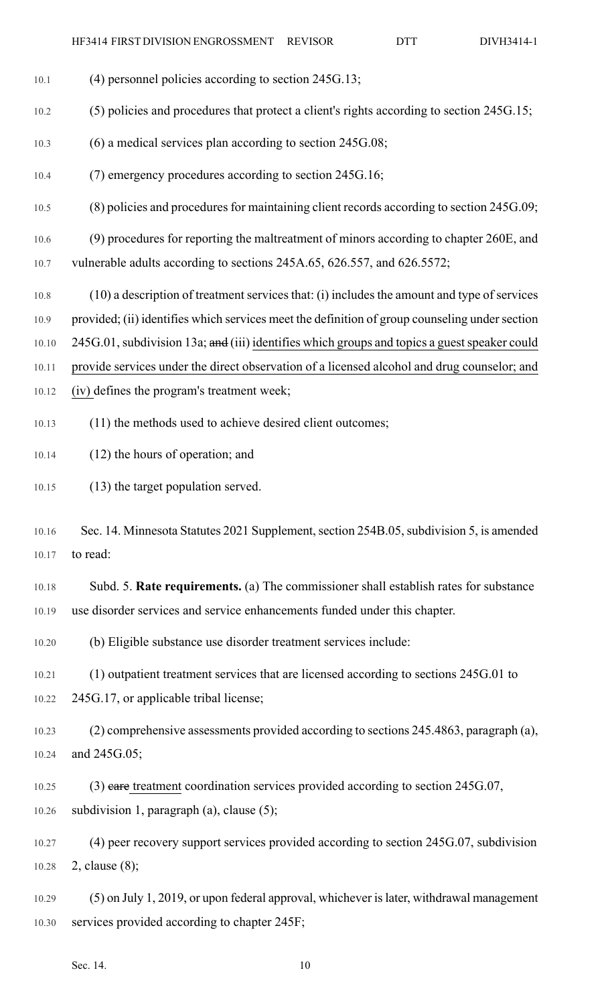10.1 (4) personnel policies according to section 245G.13;

10.2 (5) policies and procedures that protect a client's rights according to section 245G.15; 10.3 (6) a medical services plan according to section 245G.08; 10.4 (7) emergency procedures according to section 245G.16; 10.5 (8) policies and procedures for maintaining client records according to section 245G.09; 10.6 (9) procedures for reporting the maltreatment of minors according to chapter 260E, and 10.7 vulnerable adults according to sections 245A.65, 626.557, and 626.5572; 10.8 (10) a description of treatment services that: (i) includes the amount and type of services 10.9 provided; (ii) identifies which services meet the definition of group counseling under section 10.10 245G.01, subdivision 13a; and (iii) identifies which groups and topics a guest speaker could 10.11 provide services under the direct observation of a licensed alcohol and drug counselor; and 10.12 (iv) defines the program's treatment week; 10.13 (11) the methods used to achieve desired client outcomes; 10.14 (12) the hours of operation; and 10.15 (13) the target population served. 10.16 Sec. 14. Minnesota Statutes 2021 Supplement, section 254B.05, subdivision 5, is amended 10.17 to read: 10.18 Subd. 5. **Rate requirements.** (a) The commissioner shall establish rates for substance 10.19 use disorder services and service enhancements funded under this chapter. 10.20 (b) Eligible substance use disorder treatment services include: 10.21 (1) outpatient treatment services that are licensed according to sections 245G.01 to 10.22 245G.17, or applicable tribal license; 10.23 (2) comprehensive assessments provided according to sections 245.4863, paragraph (a), 10.24 and 245G.05; 10.25 (3) eare treatment coordination services provided according to section 245G.07, 10.26 subdivision 1, paragraph (a), clause (5); 10.27 (4) peer recovery support services provided according to section 245G.07, subdivision 10.28 2, clause (8); 10.29 (5) on July 1, 2019, or upon federal approval, whichever islater, withdrawal management 10.30 services provided according to chapter 245F; Sec. 14. 10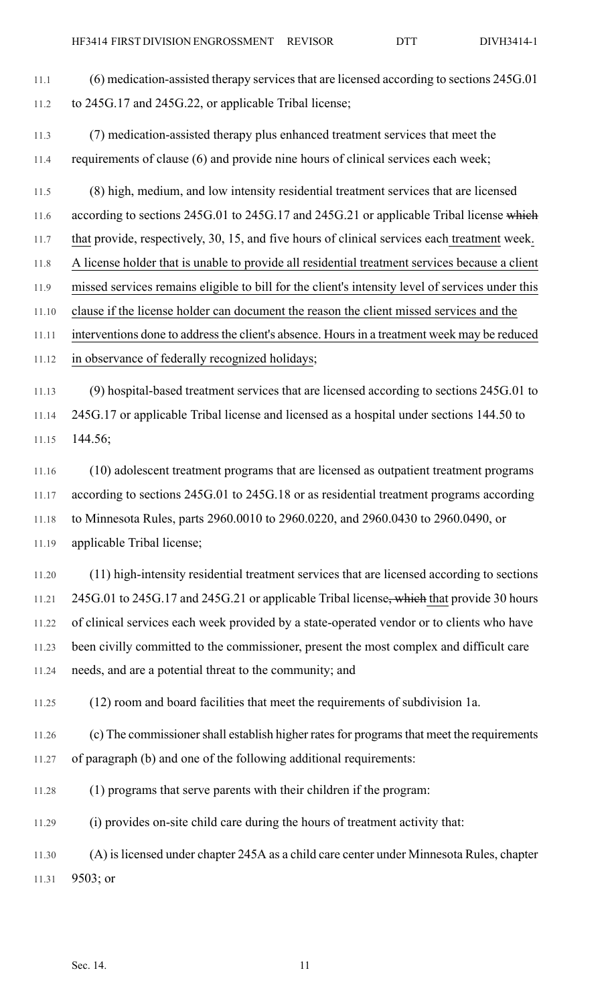11.2 to 245G.17 and 245G.22, or applicable Tribal license; 11.3 (7) medication-assisted therapy plus enhanced treatment services that meet the 11.4 requirements of clause (6) and provide nine hours of clinical services each week; 11.5 (8) high, medium, and low intensity residential treatment services that are licensed 11.6 according to sections 245G.01 to 245G.17 and 245G.21 or applicable Tribal license which 11.7 that provide, respectively, 30, 15, and five hours of clinical services each treatment week. 11.8 A license holder that is unable to provide all residential treatment services because a client 11.9 missed services remains eligible to bill for the client's intensity level of services under this 11.10 clause if the license holder can document the reason the client missed services and the 11.11 interventions done to addressthe client's absence. Hoursin a treatment week may be reduced 11.12 in observance of federally recognized holidays; 11.13 (9) hospital-based treatment services that are licensed according to sections 245G.01 to 11.14 245G.17 or applicable Tribal license and licensed as a hospital under sections 144.50 to 11.15 144.56; 11.16 (10) adolescent treatment programs that are licensed as outpatient treatment programs 11.17 according to sections 245G.01 to 245G.18 or as residential treatment programs according 11.18 to Minnesota Rules, parts 2960.0010 to 2960.0220, and 2960.0430 to 2960.0490, or 11.19 applicable Tribal license; 11.20 (11) high-intensity residential treatment services that are licensed according to sections 11.21 245G.01 to 245G.17 and 245G.21 or applicable Tribal license, which that provide 30 hours 11.22 of clinical services each week provided by a state-operated vendor or to clients who have 11.23 been civilly committed to the commissioner, present the most complex and difficult care 11.24 needs, and are a potential threat to the community; and 11.25 (12) room and board facilities that meet the requirements of subdivision 1a. 11.26 (c) The commissioner shall establish higher rates for programs that meet the requirements 11.27 of paragraph (b) and one of the following additional requirements: 11.28 (1) programs that serve parents with their children if the program: 11.29 (i) provides on-site child care during the hours of treatment activity that: 11.30 (A) islicensed under chapter 245A as a child care center under Minnesota Rules, chapter 11.31 9503; or

11.1 (6) medication-assisted therapy services that are licensed according to sections 245G.01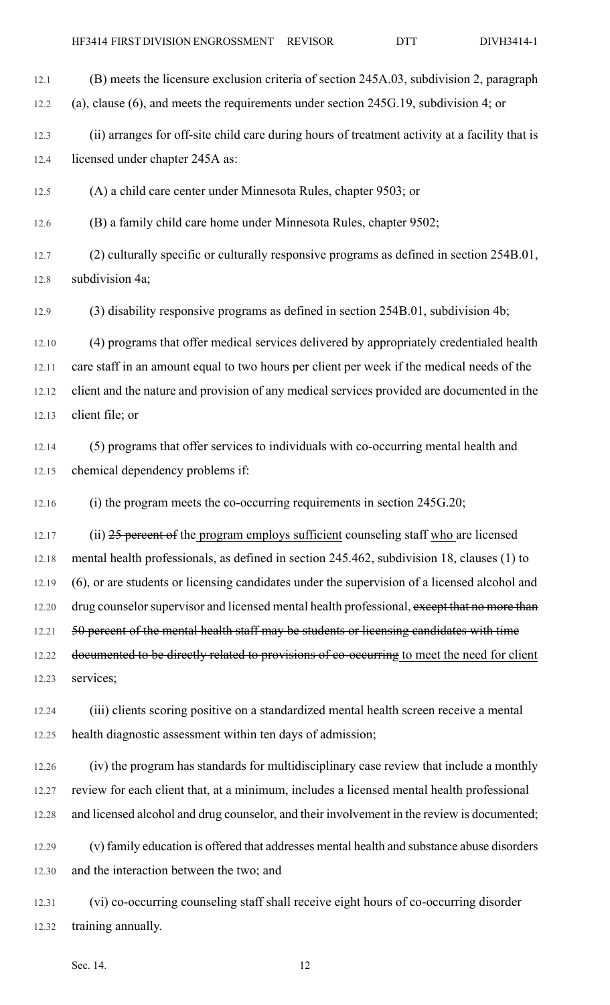12.1 (B) meets the licensure exclusion criteria of section 245A.03, subdivision 2, paragraph 12.2 (a), clause (6), and meets the requirements under section 245G.19, subdivision 4; or

12.3 (ii) arranges for off-site child care during hours of treatment activity at a facility that is 12.4 licensed under chapter 245A as:

12.5 (A) a child care center under Minnesota Rules, chapter 9503; or

12.6 (B) a family child care home under Minnesota Rules, chapter 9502;

12.7 (2) culturally specific or culturally responsive programs as defined in section 254B.01, 12.8 subdivision 4a;

12.9 (3) disability responsive programs as defined in section 254B.01, subdivision 4b;

12.10 (4) programs that offer medical services delivered by appropriately credentialed health 12.11 care staff in an amount equal to two hours per client per week if the medical needs of the 12.12 client and the nature and provision of any medical services provided are documented in the 12.13 client file; or

12.14 (5) programs that offer services to individuals with co-occurring mental health and 12.15 chemical dependency problems if:

12.16 (i) the program meets the co-occurring requirements in section 245G.20;

12.17 (ii) 25 percent of the program employs sufficient counseling staff who are licensed 12.18 mental health professionals, as defined in section 245.462, subdivision 18, clauses (1) to 12.19 (6), or are students or licensing candidates under the supervision of a licensed alcohol and 12.20 drug counselor supervisor and licensed mental health professional, except that no more than 12.21 50 percent of the mental health staff may be students or licensing candidates with time 12.22 documented to be directly related to provisions of co-occurring to meet the need for client 12.23 services;

12.24 (iii) clients scoring positive on a standardized mental health screen receive a mental 12.25 health diagnostic assessment within ten days of admission;

12.26 (iv) the program has standards for multidisciplinary case review that include a monthly 12.27 review for each client that, at a minimum, includes a licensed mental health professional 12.28 and licensed alcohol and drug counselor, and their involvement in the review is documented;

12.29 (v) family education is offered that addresses mental health and substance abuse disorders 12.30 and the interaction between the two; and

12.31 (vi) co-occurring counseling staff shall receive eight hours of co-occurring disorder 12.32 training annually.

Sec. 14. 12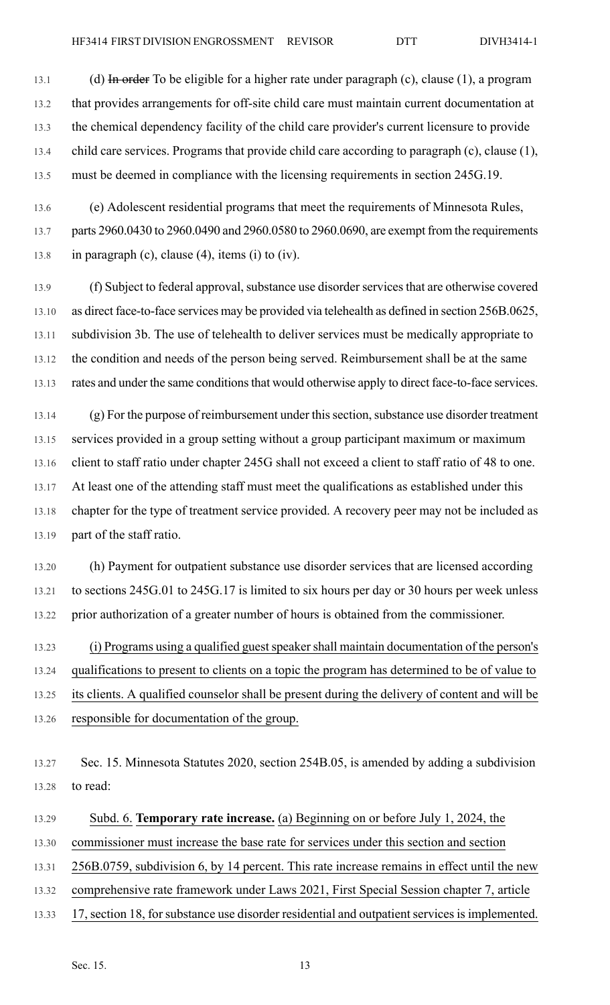13.1 (d) In order To be eligible for a higher rate under paragraph (c), clause (1), a program 13.2 that provides arrangements for off-site child care must maintain current documentation at 13.3 the chemical dependency facility of the child care provider's current licensure to provide 13.4 child care services. Programs that provide child care according to paragraph (c), clause (1), 13.5 must be deemed in compliance with the licensing requirements in section 245G.19.

13.6 (e) Adolescent residential programs that meet the requirements of Minnesota Rules, 13.7 parts 2960.0430 to 2960.0490 and 2960.0580 to 2960.0690, are exempt from the requirements 13.8 in paragraph (c), clause (4), items (i) to (iv).

13.9 (f) Subject to federal approval, substance use disorder services that are otherwise covered 13.10 as direct face-to-face services may be provided via telehealth as defined in section 256B.0625, 13.11 subdivision 3b. The use of telehealth to deliver services must be medically appropriate to 13.12 the condition and needs of the person being served. Reimbursement shall be at the same 13.13 rates and under the same conditions that would otherwise apply to direct face-to-face services.

13.14 (g) For the purpose of reimbursement under this section, substance use disorder treatment 13.15 services provided in a group setting without a group participant maximum or maximum 13.16 client to staff ratio under chapter 245G shall not exceed a client to staff ratio of 48 to one. 13.17 At least one of the attending staff must meet the qualifications as established under this 13.18 chapter for the type of treatment service provided. A recovery peer may not be included as 13.19 part of the staff ratio.

13.20 (h) Payment for outpatient substance use disorder services that are licensed according 13.21 to sections 245G.01 to 245G.17 is limited to six hours per day or 30 hours per week unless 13.22 prior authorization of a greater number of hours is obtained from the commissioner.

13.23 (i) Programs using a qualified guest speaker shall maintain documentation of the person's 13.24 qualifications to present to clients on a topic the program has determined to be of value to 13.25 its clients. A qualified counselor shall be present during the delivery of content and will be 13.26 responsible for documentation of the group.

13.27 Sec. 15. Minnesota Statutes 2020, section 254B.05, is amended by adding a subdivision 13.28 to read:

13.29 Subd. 6. **Temporary rate increase.** (a) Beginning on or before July 1, 2024, the

13.30 commissioner must increase the base rate for services under this section and section

13.31 256B.0759, subdivision 6, by 14 percent. This rate increase remains in effect until the new

13.32 comprehensive rate framework under Laws 2021, First Special Session chapter 7, article

13.33 17, section 18, for substance use disorder residential and outpatient services is implemented.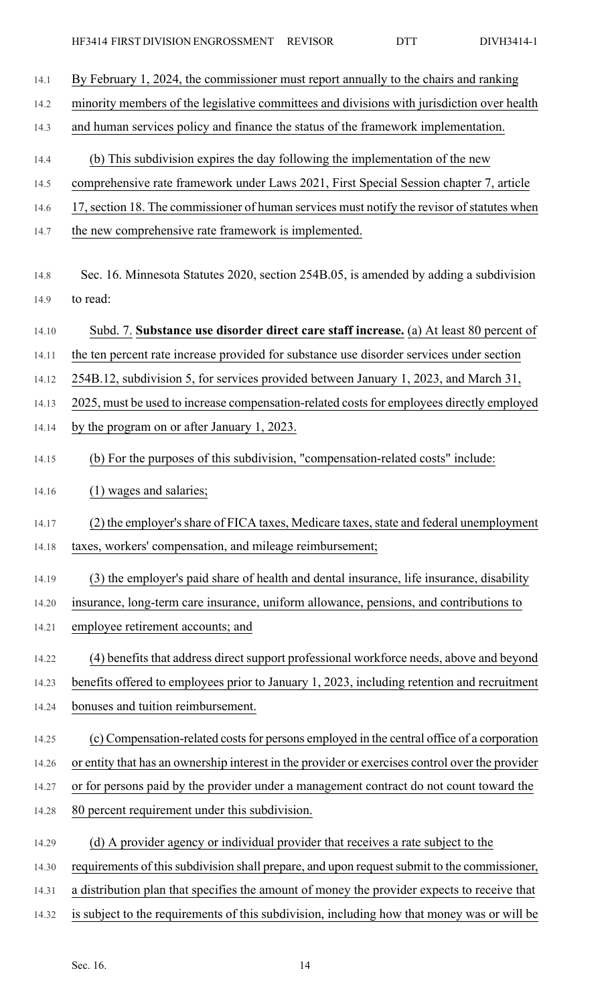| 14.1  | By February 1, 2024, the commissioner must report annually to the chairs and ranking            |
|-------|-------------------------------------------------------------------------------------------------|
| 14.2  | minority members of the legislative committees and divisions with jurisdiction over health      |
| 14.3  | and human services policy and finance the status of the framework implementation.               |
| 14.4  | (b) This subdivision expires the day following the implementation of the new                    |
| 14.5  | comprehensive rate framework under Laws 2021, First Special Session chapter 7, article          |
| 14.6  | 17, section 18. The commissioner of human services must notify the revisor of statutes when     |
| 14.7  | the new comprehensive rate framework is implemented.                                            |
|       |                                                                                                 |
| 14.8  | Sec. 16. Minnesota Statutes 2020, section 254B.05, is amended by adding a subdivision           |
| 14.9  | to read:                                                                                        |
| 14.10 | Subd. 7. Substance use disorder direct care staff increase. (a) At least 80 percent of          |
| 14.11 | the ten percent rate increase provided for substance use disorder services under section        |
| 14.12 | 254B.12, subdivision 5, for services provided between January 1, 2023, and March 31,            |
| 14.13 | 2025, must be used to increase compensation-related costs for employees directly employed       |
| 14.14 | by the program on or after January 1, 2023.                                                     |
| 14.15 | (b) For the purposes of this subdivision, "compensation-related costs" include:                 |
| 14.16 | (1) wages and salaries;                                                                         |
| 14.17 | (2) the employer's share of FICA taxes, Medicare taxes, state and federal unemployment          |
| 14.18 | taxes, workers' compensation, and mileage reimbursement;                                        |
| 14.19 | (3) the employer's paid share of health and dental insurance, life insurance, disability        |
| 14.20 | insurance, long-term care insurance, uniform allowance, pensions, and contributions to          |
| 14.21 | employee retirement accounts; and                                                               |
| 14.22 | (4) benefits that address direct support professional workforce needs, above and beyond         |
| 14.23 | benefits offered to employees prior to January 1, 2023, including retention and recruitment     |
| 14.24 | bonuses and tuition reimbursement.                                                              |
| 14.25 | (c) Compensation-related costs for persons employed in the central office of a corporation      |
| 14.26 | or entity that has an ownership interest in the provider or exercises control over the provider |
| 14.27 | or for persons paid by the provider under a management contract do not count toward the         |
| 14.28 | 80 percent requirement under this subdivision.                                                  |
| 14.29 | (d) A provider agency or individual provider that receives a rate subject to the                |
| 14.30 | requirements of this subdivision shall prepare, and upon request submit to the commissioner,    |
| 14.31 | a distribution plan that specifies the amount of money the provider expects to receive that     |
| 14.32 | is subject to the requirements of this subdivision, including how that money was or will be     |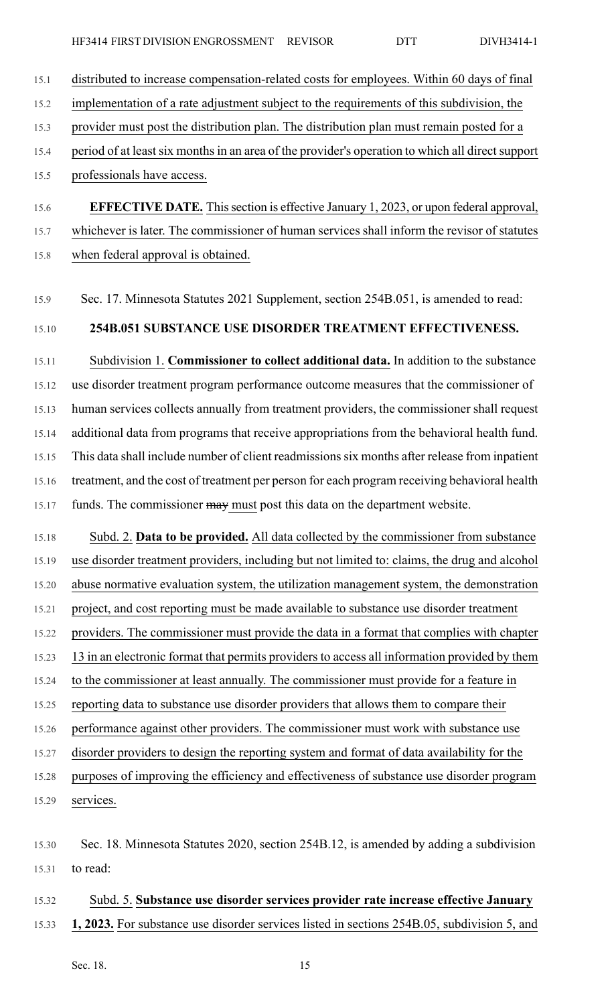- 15.1 distributed to increase compensation-related costs for employees. Within 60 days of final
- 15.2 implementation of a rate adjustment subject to the requirements of this subdivision, the
- 15.3 provider must post the distribution plan. The distribution plan must remain posted for a
- 15.4 period of at least six months in an area of the provider's operation to which all direct support
- 15.5 professionals have access.
- 15.6 **EFFECTIVE DATE.** Thissection is effective January 1, 2023, or upon federal approval, 15.7 whichever is later. The commissioner of human services shall inform the revisor of statutes 15.8 when federal approval is obtained.
- 15.9 Sec. 17. Minnesota Statutes 2021 Supplement, section 254B.051, is amended to read:

### 15.10 **254B.051 SUBSTANCE USE DISORDER TREATMENT EFFECTIVENESS.**

15.11 Subdivision 1. **Commissioner to collect additional data.** In addition to the substance 15.12 use disorder treatment program performance outcome measures that the commissioner of 15.13 human services collects annually from treatment providers, the commissioner shall request 15.14 additional data from programs that receive appropriations from the behavioral health fund. 15.15 This data shall include number of client readmissionssix months after release from inpatient 15.16 treatment, and the cost of treatment per person for each program receiving behavioral health 15.17 funds. The commissioner may must post this data on the department website.

15.18 Subd. 2. **Data to be provided.** All data collected by the commissioner from substance 15.19 use disorder treatment providers, including but not limited to: claims, the drug and alcohol 15.20 abuse normative evaluation system, the utilization management system, the demonstration 15.21 project, and cost reporting must be made available to substance use disorder treatment 15.22 providers. The commissioner must provide the data in a format that complies with chapter 15.23 13 in an electronic format that permits providers to access all information provided by them 15.24 to the commissioner at least annually. The commissioner must provide for a feature in 15.25 reporting data to substance use disorder providers that allows them to compare their 15.26 performance against other providers. The commissioner must work with substance use 15.27 disorder providers to design the reporting system and format of data availability for the 15.28 purposes of improving the efficiency and effectiveness of substance use disorder program

15.29 services.

### 15.32 Subd. 5. **Substance use disorder services provider rate increase effective January**

15.33 **1, 2023.** For substance use disorder services listed in sections 254B.05, subdivision 5, and

<sup>15.30</sup> Sec. 18. Minnesota Statutes 2020, section 254B.12, is amended by adding a subdivision 15.31 to read: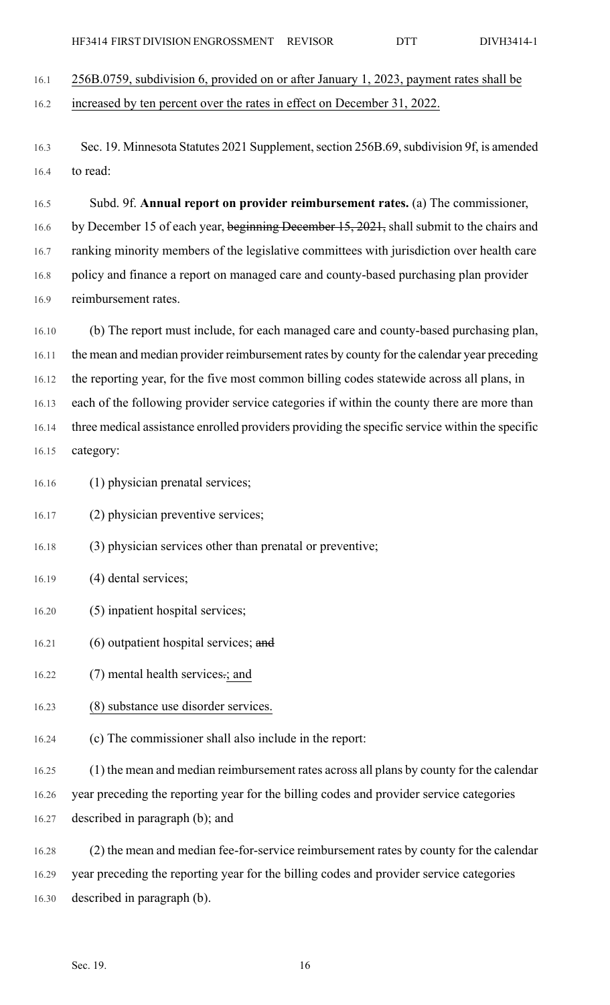16.1 256B.0759, subdivision 6, provided on or after January 1, 2023, payment rates shall be 16.2 increased by ten percent over the rates in effect on December 31, 2022.

16.3 Sec. 19. Minnesota Statutes 2021 Supplement, section 256B.69, subdivision 9f, is amended 16.4 to read:

16.5 Subd. 9f. **Annual report on provider reimbursement rates.** (a) The commissioner, 16.6 by December 15 of each year, beginning December 15, 2021, shall submit to the chairs and 16.7 ranking minority members of the legislative committees with jurisdiction over health care 16.8 policy and finance a report on managed care and county-based purchasing plan provider 16.9 reimbursement rates.

16.10 (b) The report must include, for each managed care and county-based purchasing plan, 16.11 the mean and median provider reimbursement rates by county for the calendar year preceding 16.12 the reporting year, for the five most common billing codes statewide across all plans, in 16.13 each of the following provider service categories if within the county there are more than 16.14 three medical assistance enrolled providers providing the specific service within the specific 16.15 category:

16.16 (1) physician prenatal services;

16.17 (2) physician preventive services;

16.18 (3) physician services other than prenatal or preventive;

- 16.19 (4) dental services;
- 16.20 (5) inpatient hospital services;
- 16.21 (6) outpatient hospital services; and
- 16.22 (7) mental health services.; and
- 16.23 (8) substance use disorder services.
- 16.24 (c) The commissioner shall also include in the report:
- 16.25 (1) the mean and median reimbursement rates across all plans by county for the calendar
- 16.26 year preceding the reporting year for the billing codes and provider service categories
- 16.27 described in paragraph (b); and
- 16.28 (2) the mean and median fee-for-service reimbursement rates by county for the calendar

16.29 year preceding the reporting year for the billing codes and provider service categories

16.30 described in paragraph (b).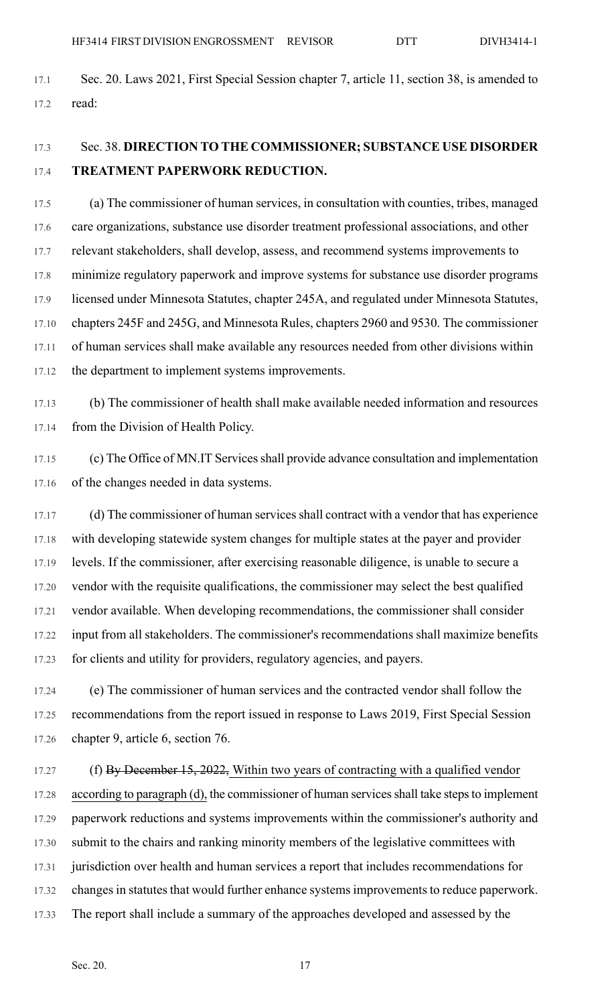17.1 Sec. 20. Laws 2021, First Special Session chapter 7, article 11, section 38, is amended to 17.2 read:

## 17.3 Sec. 38. **DIRECTION TO THE COMMISSIONER; SUBSTANCE USE DISORDER** 17.4 **TREATMENT PAPERWORK REDUCTION.**

17.5 (a) The commissioner of human services, in consultation with counties, tribes, managed 17.6 care organizations, substance use disorder treatment professional associations, and other 17.7 relevant stakeholders, shall develop, assess, and recommend systems improvements to 17.8 minimize regulatory paperwork and improve systems for substance use disorder programs 17.9 licensed under Minnesota Statutes, chapter 245A, and regulated under Minnesota Statutes, 17.10 chapters 245F and 245G, and Minnesota Rules, chapters 2960 and 9530. The commissioner 17.11 of human services shall make available any resources needed from other divisions within 17.12 the department to implement systems improvements.

17.13 (b) The commissioner of health shall make available needed information and resources 17.14 from the Division of Health Policy.

17.15 (c) The Office of MN.IT Services shall provide advance consultation and implementation 17.16 of the changes needed in data systems.

17.17 (d) The commissioner of human services shall contract with a vendor that has experience 17.18 with developing statewide system changes for multiple states at the payer and provider 17.19 levels. If the commissioner, after exercising reasonable diligence, is unable to secure a 17.20 vendor with the requisite qualifications, the commissioner may select the best qualified 17.21 vendor available. When developing recommendations, the commissioner shall consider 17.22 input from all stakeholders. The commissioner's recommendations shall maximize benefits 17.23 for clients and utility for providers, regulatory agencies, and payers.

17.24 (e) The commissioner of human services and the contracted vendor shall follow the 17.25 recommendations from the report issued in response to Laws 2019, First Special Session 17.26 chapter 9, article 6, section 76.

17.27 (f) By December 15, 2022, Within two years of contracting with a qualified vendor 17.28 according to paragraph (d), the commissioner of human services shall take steps to implement 17.29 paperwork reductions and systems improvements within the commissioner's authority and 17.30 submit to the chairs and ranking minority members of the legislative committees with 17.31 jurisdiction over health and human services a report that includes recommendations for 17.32 changes in statutes that would further enhance systems improvements to reduce paperwork. 17.33 The report shall include a summary of the approaches developed and assessed by the